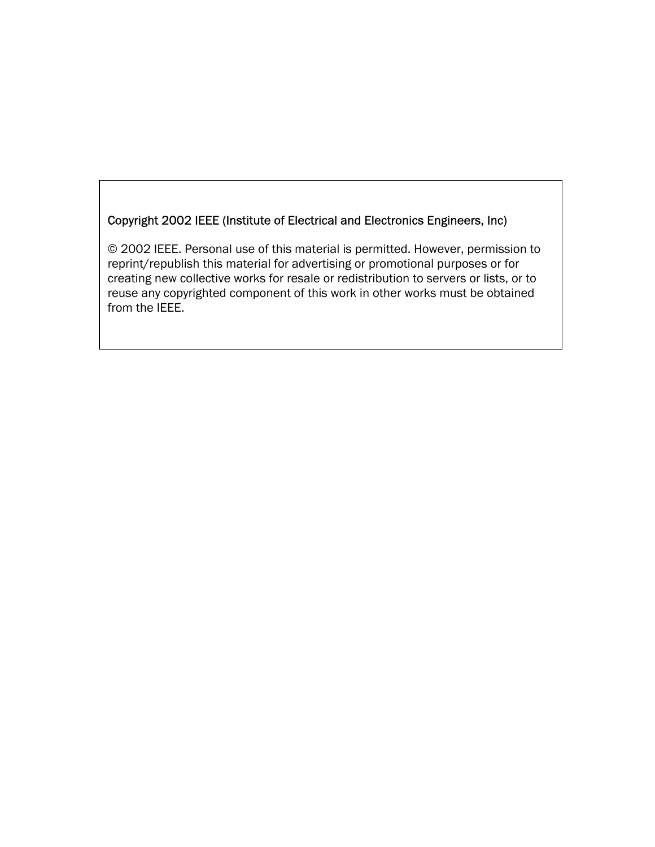# Copyright 2002 IEEE (Institute of Electrical and Electronics Engineers, Inc)

© 2002 IEEE. Personal use of this material is permitted. However, permission to reprint/republish this material for advertising or promotional purposes or for creating new collective works for resale or redistribution to servers or lists, or to reuse any copyrighted component of this work in other works must be obtained from the IEEE.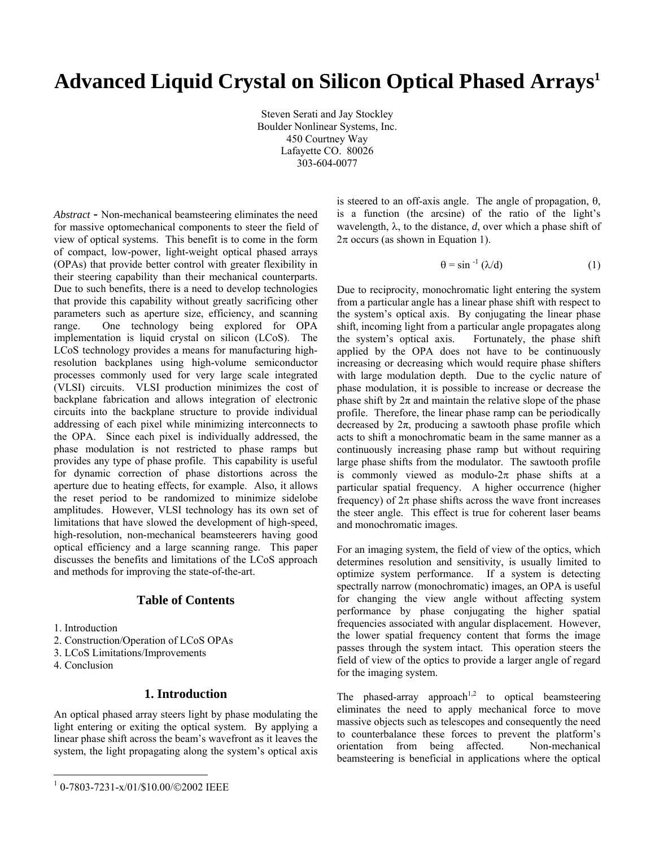# Advanced Liquid Crystal on Silicon Optical Phased Arrays<sup>1</sup>

Steven Serati and Jay Stockley Boulder Nonlinear Systems, Inc. 450 Courtney Way Lafayette CO. 80026 303-604-0077

*Abstract* **-** Non-mechanical beamsteering eliminates the need for massive optomechanical components to steer the field of view of optical systems. This benefit is to come in the form of compact, low-power, light-weight optical phased arrays (OPAs) that provide better control with greater flexibility in their steering capability than their mechanical counterparts. Due to such benefits, there is a need to develop technologies that provide this capability without greatly sacrificing other parameters such as aperture size, efficiency, and scanning range. One technology being explored for OPA implementation is liquid crystal on silicon (LCoS). The LCoS technology provides a means for manufacturing highresolution backplanes using high-volume semiconductor processes commonly used for very large scale integrated (VLSI) circuits. VLSI production minimizes the cost of backplane fabrication and allows integration of electronic circuits into the backplane structure to provide individual addressing of each pixel while minimizing interconnects to the OPA. Since each pixel is individually addressed, the phase modulation is not restricted to phase ramps but provides any type of phase profile. This capability is useful for dynamic correction of phase distortions across the aperture due to heating effects, for example. Also, it allows the reset period to be randomized to minimize sidelobe amplitudes. However, VLSI technology has its own set of limitations that have slowed the development of high-speed, high-resolution, non-mechanical beamsteerers having good optical efficiency and a large scanning range. This paper discusses the benefits and limitations of the LCoS approach and methods for improving the state-of-the-art.

### **Table of Contents**

- 1. Introduction
- 2. Construction/Operation of LCoS OPAs
- 3. LCoS Limitations/Improvements
- 4. Conclusion

l

## **1. Introduction**

An optical phased array steers light by phase modulating the light entering or exiting the optical system. By applying a linear phase shift across the beam's wavefront as it leaves the system, the light propagating along the system's optical axis

is steered to an off-axis angle. The angle of propagation, θ, is a function (the arcsine) of the ratio of the light's wavelength,  $\lambda$ , to the distance, *d*, over which a phase shift of  $2\pi$  occurs (as shown in Equation 1).

$$
\theta = \sin^{-1} (\lambda/d) \tag{1}
$$

Due to reciprocity, monochromatic light entering the system from a particular angle has a linear phase shift with respect to the system's optical axis. By conjugating the linear phase shift, incoming light from a particular angle propagates along the system's optical axis. Fortunately, the phase shift applied by the OPA does not have to be continuously increasing or decreasing which would require phase shifters with large modulation depth. Due to the cyclic nature of phase modulation, it is possible to increase or decrease the phase shift by  $2\pi$  and maintain the relative slope of the phase profile. Therefore, the linear phase ramp can be periodically decreased by  $2\pi$ , producing a sawtooth phase profile which acts to shift a monochromatic beam in the same manner as a continuously increasing phase ramp but without requiring large phase shifts from the modulator. The sawtooth profile is commonly viewed as modulo- $2\pi$  phase shifts at a particular spatial frequency. A higher occurrence (higher frequency) of  $2\pi$  phase shifts across the wave front increases the steer angle. This effect is true for coherent laser beams and monochromatic images.

For an imaging system, the field of view of the optics, which determines resolution and sensitivity, is usually limited to optimize system performance. If a system is detecting spectrally narrow (monochromatic) images, an OPA is useful for changing the view angle without affecting system performance by phase conjugating the higher spatial frequencies associated with angular displacement. However, the lower spatial frequency content that forms the image passes through the system intact. This operation steers the field of view of the optics to provide a larger angle of regard for the imaging system.

The phased-array approach<sup>1,2</sup> to optical beamsteering eliminates the need to apply mechanical force to move massive objects such as telescopes and consequently the need to counterbalance these forces to prevent the platform's orientation from being affected. Non-mechanical beamsteering is beneficial in applications where the optical

<span id="page-1-0"></span><sup>1</sup> 0-7803-7231-x/01/\$10.00/©2002 IEEE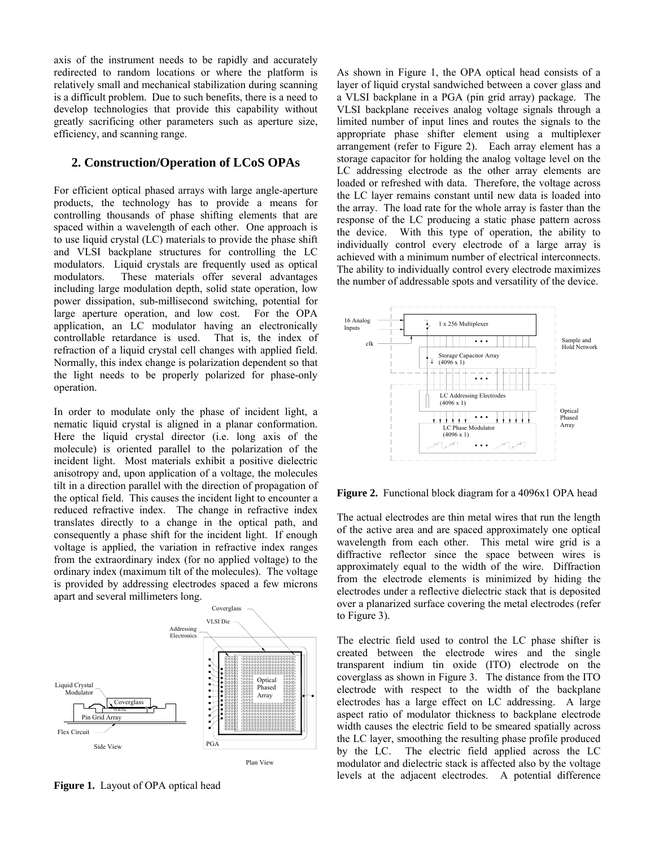axis of the instrument needs to be rapidly and accurately redirected to random locations or where the platform is relatively small and mechanical stabilization during scanning is a difficult problem. Due to such benefits, there is a need to develop technologies that provide this capability without greatly sacrificing other parameters such as aperture size, efficiency, and scanning range.

#### **2. Construction/Operation of LCoS OPAs**

For efficient optical phased arrays with large angle-aperture products, the technology has to provide a means for controlling thousands of phase shifting elements that are spaced within a wavelength of each other. One approach is to use liquid crystal (LC) materials to provide the phase shift and VLSI backplane structures for controlling the LC modulators. Liquid crystals are frequently used as optical modulators. These materials offer several advantages including large modulation depth, solid state operation, low power dissipation, sub-millisecond switching, potential for large aperture operation, and low cost. For the OPA application, an LC modulator having an electronically controllable retardance is used. That is, the index of refraction of a liquid crystal cell changes with applied field. Normally, this index change is polarization dependent so that the light needs to be properly polarized for phase-only operation.

In order to modulate only the phase of incident light, a nematic liquid crystal is aligned in a planar conformation. Here the liquid crystal director (i.e. long axis of the molecule) is oriented parallel to the polarization of the incident light. Most materials exhibit a positive dielectric anisotropy and, upon application of a voltage, the molecules tilt in a direction parallel with the direction of propagation of the optical field. This causes the incident light to encounter a reduced refractive index. The change in refractive index translates directly to a change in the optical path, and consequently a phase shift for the incident light. If enough voltage is applied, the variation in refractive index ranges from the extraordinary index (for no applied voltage) to the ordinary index (maximum tilt of the molecules). The voltage is provided by addressing electrodes spaced a few microns apart and several millimeters long.



**Figure 1.** Layout of OPA optical head

As shown in Figure 1, the OPA optical head consists of a layer of liquid crystal sandwiched between a cover glass and a VLSI backplane in a PGA (pin grid array) package. The VLSI backplane receives analog voltage signals through a limited number of input lines and routes the signals to the appropriate phase shifter element using a multiplexer arrangement (refer to Figure 2). Each array element has a storage capacitor for holding the analog voltage level on the LC addressing electrode as the other array elements are loaded or refreshed with data. Therefore, the voltage across the LC layer remains constant until new data is loaded into the array. The load rate for the whole array is faster than the response of the LC producing a static phase pattern across the device. With this type of operation, the ability to individually control every electrode of a large array is achieved with a minimum number of electrical interconnects. The ability to individually control every electrode maximizes the number of addressable spots and versatility of the device.



**Figure 2.** Functional block diagram for a 4096x1 OPA head

The actual electrodes are thin metal wires that run the length of the active area and are spaced approximately one optical wavelength from each other. This metal wire grid is a diffractive reflector since the space between wires is approximately equal to the width of the wire. Diffraction from the electrode elements is minimized by hiding the electrodes under a reflective dielectric stack that is deposited over a planarized surface covering the metal electrodes (refer to Figure 3).

The electric field used to control the LC phase shifter is created between the electrode wires and the single transparent indium tin oxide (ITO) electrode on the coverglass as shown in Figure 3. The distance from the ITO electrode with respect to the width of the backplane electrodes has a large effect on LC addressing. A large aspect ratio of modulator thickness to backplane electrode width causes the electric field to be smeared spatially across the LC layer, smoothing the resulting phase profile produced<br>by the LC. The electric field applied across the LC The electric field applied across the LC. modulator and dielectric stack is affected also by the voltage levels at the adjacent electrodes. A potential difference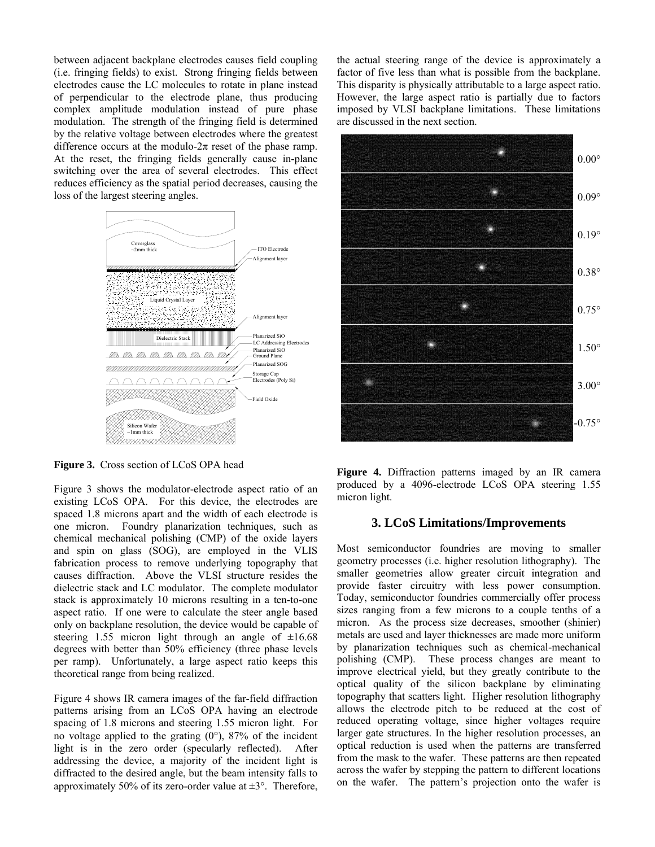between adjacent backplane electrodes causes field coupling (i.e. fringing fields) to exist. Strong fringing fields between electrodes cause the LC molecules to rotate in plane instead of perpendicular to the electrode plane, thus producing complex amplitude modulation instead of pure phase modulation. The strength of the fringing field is determined by the relative voltage between electrodes where the greatest difference occurs at the modulo- $2\pi$  reset of the phase ramp. At the reset, the fringing fields generally cause in-plane switching over the area of several electrodes. This effect reduces efficiency as the spatial period decreases, causing the loss of the largest steering angles.



**Figure 3.** Cross section of LCoS OPA head

Figure 3 shows the modulator-electrode aspect ratio of an existing LCoS OPA. For this device, the electrodes are spaced 1.8 microns apart and the width of each electrode is one micron. Foundry planarization techniques, such as chemical mechanical polishing (CMP) of the oxide layers and spin on glass (SOG), are employed in the VLIS fabrication process to remove underlying topography that causes diffraction. Above the VLSI structure resides the dielectric stack and LC modulator. The complete modulator stack is approximately 10 microns resulting in a ten-to-one aspect ratio. If one were to calculate the steer angle based only on backplane resolution, the device would be capable of steering 1.55 micron light through an angle of  $\pm 16.68$ degrees with better than 50% efficiency (three phase levels per ramp). Unfortunately, a large aspect ratio keeps this theoretical range from being realized.

Figure 4 shows IR camera images of the far-field diffraction patterns arising from an LCoS OPA having an electrode spacing of 1.8 microns and steering 1.55 micron light. For no voltage applied to the grating (0°), 87% of the incident light is in the zero order (specularly reflected). After addressing the device, a majority of the incident light is diffracted to the desired angle, but the beam intensity falls to approximately 50% of its zero-order value at  $\pm 3^{\circ}$ . Therefore,

the actual steering range of the device is approximately a factor of five less than what is possible from the backplane. This disparity is physically attributable to a large aspect ratio. However, the large aspect ratio is partially due to factors imposed by VLSI backplane limitations. These limitations are discussed in the next section.



Figure 4. Diffraction patterns imaged by an IR camera produced by a 4096-electrode LCoS OPA steering 1.55 micron light.

#### **3. LCoS Limitations/Improvements**

Most semiconductor foundries are moving to smaller geometry processes (i.e. higher resolution lithography). The smaller geometries allow greater circuit integration and provide faster circuitry with less power consumption. Today, semiconductor foundries commercially offer process sizes ranging from a few microns to a couple tenths of a micron. As the process size decreases, smoother (shinier) metals are used and layer thicknesses are made more uniform by planarization techniques such as chemical-mechanical polishing (CMP). These process changes are meant to improve electrical yield, but they greatly contribute to the optical quality of the silicon backplane by eliminating topography that scatters light. Higher resolution lithography allows the electrode pitch to be reduced at the cost of reduced operating voltage, since higher voltages require larger gate structures. In the higher resolution processes, an optical reduction is used when the patterns are transferred from the mask to the wafer. These patterns are then repeated across the wafer by stepping the pattern to different locations on the wafer. The pattern's projection onto the wafer is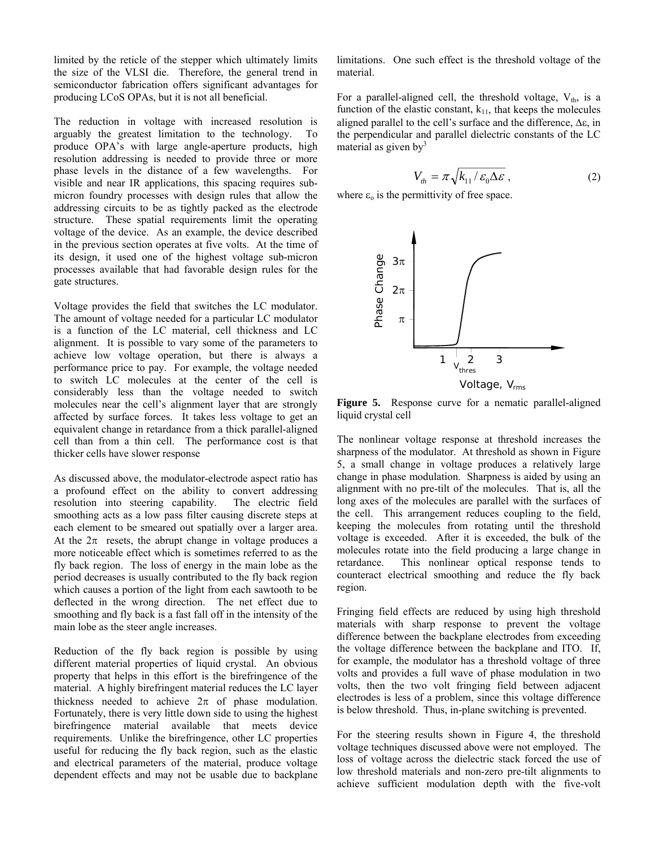limited by the reticle of the stepper which ultimately limits the size of the VLSI die. Therefore, the general trend in semiconductor fabrication offers significant advantages for producing LCoS OPAs, but it is not all beneficial.

The reduction in voltage with increased resolution is arguably the greatest limitation to the technology. To produce OPA's with large angle-aperture products, high resolution addressing is needed to provide three or more phase levels in the distance of a few wavelengths. For visible and near IR applications, this spacing requires submicron foundry processes with design rules that allow the addressing circuits to be as tightly packed as the electrode structure. These spatial requirements limit the operating voltage of the device. As an example, the device described in the previous section operates at five volts. At the time of its design, it used one of the highest voltage sub-micron processes available that had favorable design rules for the gate structures.

Voltage provides the field that switches the LC modulator. The amount of voltage needed for a particular LC modulator is a function of the LC material, cell thickness and LC alignment. It is possible to vary some of the parameters to achieve low voltage operation, but there is always a performance price to pay. For example, the voltage needed to switch LC molecules at the center of the cell is considerably less than the voltage needed to switch molecules near the cell's alignment layer that are strongly affected by surface forces. It takes less voltage to get an equivalent change in retardance from a thick parallel-aligned cell than from a thin cell. The performance cost is that thicker cells have slower response

As discussed above, the modulator-electrode aspect ratio has a profound effect on the ability to convert addressing resolution into steering capability. The electric field smoothing acts as a low pass filter causing discrete steps at each element to be smeared out spatially over a larger area. At the  $2\pi$  resets, the abrupt change in voltage produces a more noticeable effect which is sometimes referred to as the fly back region. The loss of energy in the main lobe as the period decreases is usually contributed to the fly back region which causes a portion of the light from each sawtooth to be deflected in the wrong direction. The net effect due to smoothing and fly back is a fast fall off in the intensity of the main lobe as the steer angle increases.

Reduction of the fly back region is possible by using different material properties of liquid crystal. An obvious property that helps in this effort is the birefringence of the material. A highly birefringent material reduces the LC layer thickness needed to achieve  $2\pi$  of phase modulation. Fortunately, there is very little down side to using the highest birefringence material available that meets device requirements. Unlike the birefringence, other LC properties useful for reducing the fly back region, such as the elastic and electrical parameters of the material, produce voltage dependent effects and may not be usable due to backplane

limitations. One such effect is the threshold voltage of the material.

For a parallel-aligned cell, the threshold voltage,  $V_{th}$ , is a function of the elastic constant,  $k_{11}$ , that keeps the molecules aligned parallel to the cell's surface and the difference, ∆ε, in the perpendicular and parallel dielectric constants of the LC material as given  $by<sup>3</sup>$ 

$$
V_{th} = \pi \sqrt{k_{11} / \varepsilon_0 \Delta \varepsilon} \,, \tag{2}
$$

where  $\varepsilon_0$  is the permittivity of free space.



**Figure 5.** Response curve for a nematic parallel-aligned liquid crystal cell

The nonlinear voltage response at threshold increases the sharpness of the modulator. At threshold as shown in Figure 5, a small change in voltage produces a relatively large change in phase modulation. Sharpness is aided by using an alignment with no pre-tilt of the molecules. That is, all the long axes of the molecules are parallel with the surfaces of the cell. This arrangement reduces coupling to the field, keeping the molecules from rotating until the threshold voltage is exceeded. After it is exceeded, the bulk of the molecules rotate into the field producing a large change in retardance. This nonlinear optical response tends to counteract electrical smoothing and reduce the fly back region.

Fringing field effects are reduced by using high threshold materials with sharp response to prevent the voltage difference between the backplane electrodes from exceeding the voltage difference between the backplane and ITO. If, for example, the modulator has a threshold voltage of three volts and provides a full wave of phase modulation in two volts, then the two volt fringing field between adjacent electrodes is less of a problem, since this voltage difference is below threshold. Thus, in-plane switching is prevented.

For the steering results shown in Figure 4, the threshold voltage techniques discussed above were not employed. The loss of voltage across the dielectric stack forced the use of low threshold materials and non-zero pre-tilt alignments to achieve sufficient modulation depth with the five-volt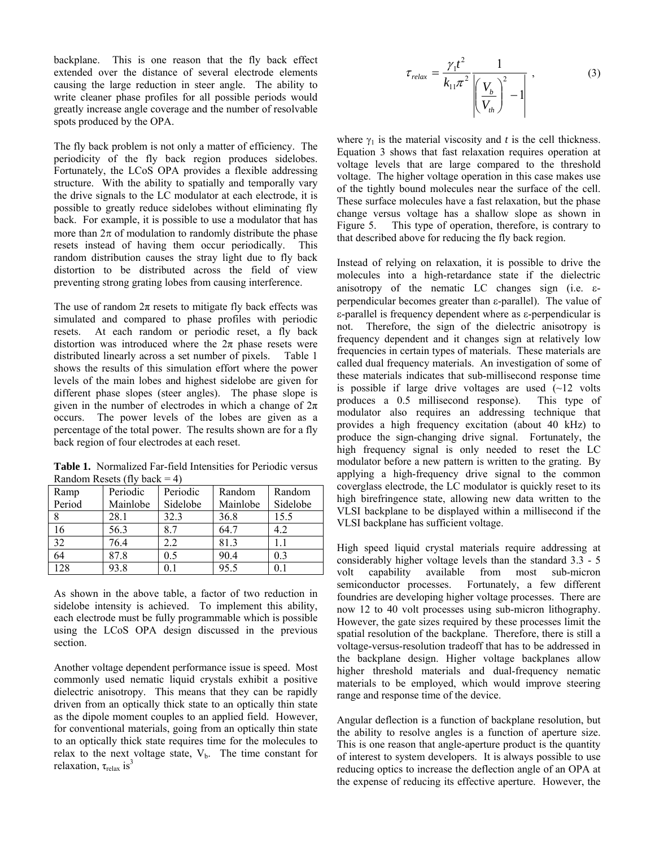backplane. This is one reason that the fly back effect extended over the distance of several electrode elements causing the large reduction in steer angle. The ability to write cleaner phase profiles for all possible periods would greatly increase angle coverage and the number of resolvable spots produced by the OPA.

The fly back problem is not only a matter of efficiency. The periodicity of the fly back region produces sidelobes. Fortunately, the LCoS OPA provides a flexible addressing structure. With the ability to spatially and temporally vary the drive signals to the LC modulator at each electrode, it is possible to greatly reduce sidelobes without eliminating fly back. For example, it is possible to use a modulator that has more than  $2\pi$  of modulation to randomly distribute the phase resets instead of having them occur periodically. This random distribution causes the stray light due to fly back distortion to be distributed across the field of view preventing strong grating lobes from causing interference.

The use of random  $2\pi$  resets to mitigate fly back effects was simulated and compared to phase profiles with periodic resets. At each random or periodic reset, a fly back distortion was introduced where the  $2\pi$  phase resets were distributed linearly across a set number of pixels. Table 1 shows the results of this simulation effort where the power levels of the main lobes and highest sidelobe are given for different phase slopes (steer angles). The phase slope is given in the number of electrodes in which a change of  $2\pi$ occurs. The power levels of the lobes are given as a percentage of the total power. The results shown are for a fly back region of four electrodes at each reset.

**Table 1.** Normalized Far-field Intensities for Periodic versus Random Resets (fly back  $= 4$ )

| Ramp   | Periodic | Periodic | Random   | Random   |
|--------|----------|----------|----------|----------|
| Period | Mainlobe | Sidelobe | Mainlobe | Sidelobe |
| 8      | 28.1     | 32.3     | 36.8     | 15.5     |
| 16     | 56.3     | 8.7      | 64.7     | 4.2      |
| 32     | 76.4     | 2.2      | 81.3     |          |
| 64     | 87.8     | 0.5      | 90.4     | 0.3      |
| 128    | 93.8     | 01       | 95.5     |          |

As shown in the above table, a factor of two reduction in sidelobe intensity is achieved. To implement this ability, each electrode must be fully programmable which is possible using the LCoS OPA design discussed in the previous section.

Another voltage dependent performance issue is speed. Most commonly used nematic liquid crystals exhibit a positive dielectric anisotropy. This means that they can be rapidly driven from an optically thick state to an optically thin state as the dipole moment couples to an applied field. However, for conventional materials, going from an optically thin state to an optically thick state requires time for the molecules to relax to the next voltage state,  $V_b$ . The time constant for relaxation,  $\tau_{relax}$  is<sup>3</sup>

$$
\tau_{relax} = \frac{\gamma_1 t^2}{k_{11} \pi^2} \frac{1}{\left| \left( \frac{V_b}{V_{th}} \right)^2 - 1 \right|} , \qquad (3)
$$

where  $\gamma_1$  is the material viscosity and *t* is the cell thickness. Equation 3 shows that fast relaxation requires operation at voltage levels that are large compared to the threshold voltage. The higher voltage operation in this case makes use of the tightly bound molecules near the surface of the cell. These surface molecules have a fast relaxation, but the phase change versus voltage has a shallow slope as shown in Figure 5. This type of operation, therefore, is contrary to that described above for reducing the fly back region.

Instead of relying on relaxation, it is possible to drive the molecules into a high-retardance state if the dielectric anisotropy of the nematic LC changes sign (i.e.  $\varepsilon$ perpendicular becomes greater than ε-parallel). The value of ε-parallel is frequency dependent where as ε-perpendicular is not. Therefore, the sign of the dielectric anisotropy is frequency dependent and it changes sign at relatively low frequencies in certain types of materials. These materials are called dual frequency materials. An investigation of some of these materials indicates that sub-millisecond response time is possible if large drive voltages are used  $(-12 \text{ volts})$ produces a 0.5 millisecond response). This type of modulator also requires an addressing technique that provides a high frequency excitation (about 40 kHz) to produce the sign-changing drive signal. Fortunately, the high frequency signal is only needed to reset the LC modulator before a new pattern is written to the grating. By applying a high-frequency drive signal to the common coverglass electrode, the LC modulator is quickly reset to its high birefringence state, allowing new data written to the VLSI backplane to be displayed within a millisecond if the VLSI backplane has sufficient voltage.

High speed liquid crystal materials require addressing at considerably higher voltage levels than the standard 3.3 - 5 volt capability available from most sub-micron semiconductor processes. Fortunately, a few different foundries are developing higher voltage processes. There are now 12 to 40 volt processes using sub-micron lithography. However, the gate sizes required by these processes limit the spatial resolution of the backplane. Therefore, there is still a voltage-versus-resolution tradeoff that has to be addressed in the backplane design. Higher voltage backplanes allow higher threshold materials and dual-frequency nematic materials to be employed, which would improve steering range and response time of the device.

Angular deflection is a function of backplane resolution, but the ability to resolve angles is a function of aperture size. This is one reason that angle-aperture product is the quantity of interest to system developers. It is always possible to use reducing optics to increase the deflection angle of an OPA at the expense of reducing its effective aperture. However, the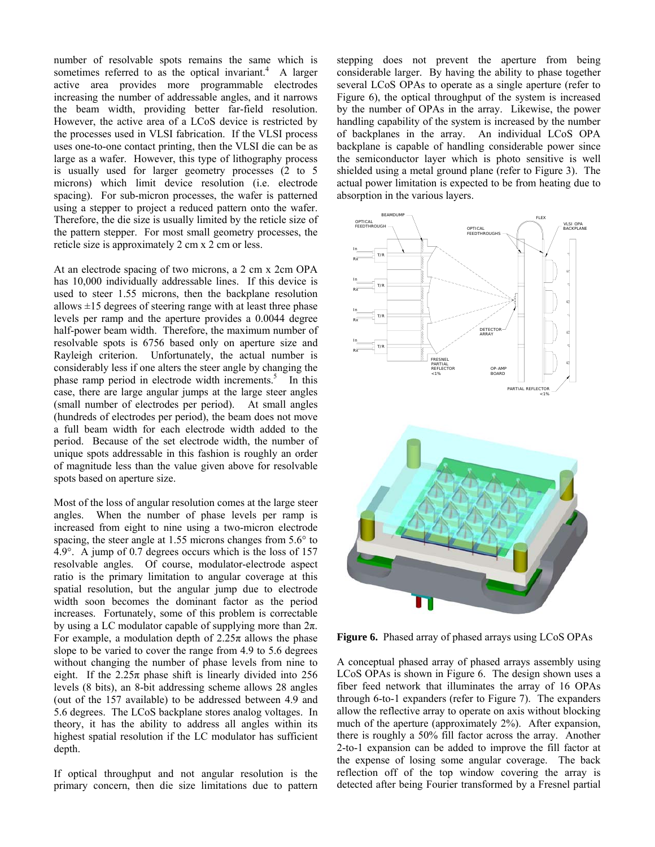number of resolvable spots remains the same which is sometimes referred to as the optical invariant.<sup>4</sup> A larger active area provides more programmable electrodes increasing the number of addressable angles, and it narrows the beam width, providing better far-field resolution. However, the active area of a LCoS device is restricted by the processes used in VLSI fabrication. If the VLSI process uses one-to-one contact printing, then the VLSI die can be as large as a wafer. However, this type of lithography process is usually used for larger geometry processes (2 to 5 microns) which limit device resolution (i.e. electrode spacing). For sub-micron processes, the wafer is patterned using a stepper to project a reduced pattern onto the wafer. Therefore, the die size is usually limited by the reticle size of the pattern stepper. For most small geometry processes, the reticle size is approximately 2 cm x 2 cm or less.

At an electrode spacing of two microns, a 2 cm x 2cm OPA has 10,000 individually addressable lines. If this device is used to steer 1.55 microns, then the backplane resolution allows  $\pm 15$  degrees of steering range with at least three phase levels per ramp and the aperture provides a 0.0044 degree half-power beam width. Therefore, the maximum number of resolvable spots is 6756 based only on aperture size and Rayleigh criterion. Unfortunately, the actual number is considerably less if one alters the steer angle by changing the phase ramp period in electrode width increments.<sup>5</sup> In this case, there are large angular jumps at the large steer angles (small number of electrodes per period). At small angles (hundreds of electrodes per period), the beam does not move a full beam width for each electrode width added to the period. Because of the set electrode width, the number of unique spots addressable in this fashion is roughly an order of magnitude less than the value given above for resolvable spots based on aperture size.

Most of the loss of angular resolution comes at the large steer angles. When the number of phase levels per ramp is increased from eight to nine using a two-micron electrode spacing, the steer angle at 1.55 microns changes from 5.6° to 4.9°. A jump of 0.7 degrees occurs which is the loss of 157 resolvable angles. Of course, modulator-electrode aspect ratio is the primary limitation to angular coverage at this spatial resolution, but the angular jump due to electrode width soon becomes the dominant factor as the period increases. Fortunately, some of this problem is correctable by using a LC modulator capable of supplying more than  $2\pi$ . For example, a modulation depth of  $2.25\pi$  allows the phase slope to be varied to cover the range from 4.9 to 5.6 degrees without changing the number of phase levels from nine to eight. If the  $2.25\pi$  phase shift is linearly divided into 256 levels (8 bits), an 8-bit addressing scheme allows 28 angles (out of the 157 available) to be addressed between 4.9 and 5.6 degrees. The LCoS backplane stores analog voltages. In theory, it has the ability to address all angles within its highest spatial resolution if the LC modulator has sufficient depth.

If optical throughput and not angular resolution is the primary concern, then die size limitations due to pattern

stepping does not prevent the aperture from being considerable larger. By having the ability to phase together several LCoS OPAs to operate as a single aperture (refer to Figure 6), the optical throughput of the system is increased by the number of OPAs in the array. Likewise, the power handling capability of the system is increased by the number of backplanes in the array. An individual LCoS OPA backplane is capable of handling considerable power since the semiconductor layer which is photo sensitive is well shielded using a metal ground plane (refer to Figure 3). The actual power limitation is expected to be from heating due to absorption in the various layers.



**Figure 6.** Phased array of phased arrays using LCoS OPAs

A conceptual phased array of phased arrays assembly using LCoS OPAs is shown in Figure 6. The design shown uses a fiber feed network that illuminates the array of 16 OPAs through 6-to-1 expanders (refer to Figure 7). The expanders allow the reflective array to operate on axis without blocking much of the aperture (approximately 2%). After expansion, there is roughly a 50% fill factor across the array. Another 2-to-1 expansion can be added to improve the fill factor at the expense of losing some angular coverage. The back reflection off of the top window covering the array is detected after being Fourier transformed by a Fresnel partial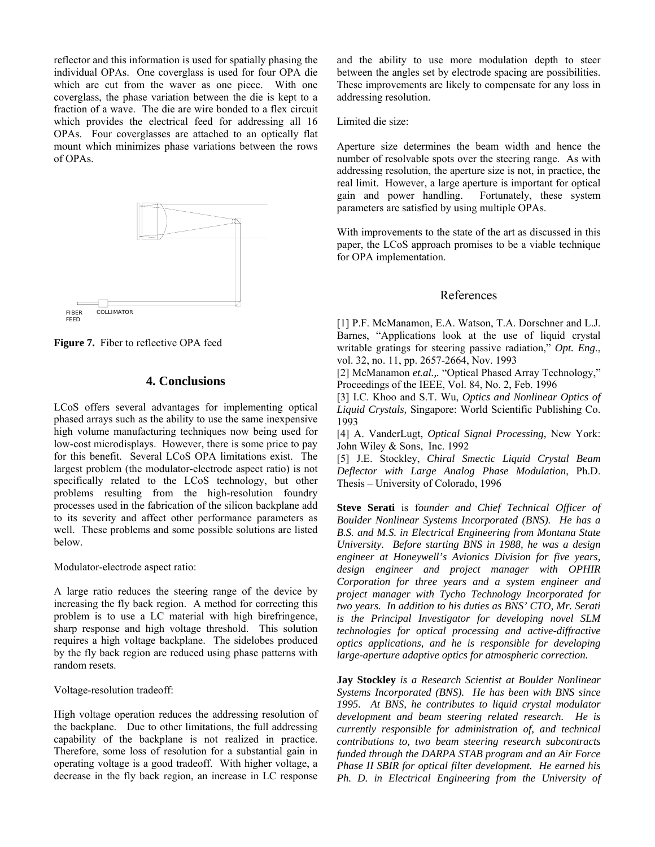reflector and this information is used for spatially phasing the individual OPAs. One coverglass is used for four OPA die which are cut from the waver as one piece. With one coverglass, the phase variation between the die is kept to a fraction of a wave. The die are wire bonded to a flex circuit which provides the electrical feed for addressing all 16 OPAs. Four coverglasses are attached to an optically flat mount which minimizes phase variations between the rows of OPAs.



**Figure 7.** Fiber to reflective OPA feed

#### **4. Conclusions**

LCoS offers several advantages for implementing optical phased arrays such as the ability to use the same inexpensive high volume manufacturing techniques now being used for low-cost microdisplays. However, there is some price to pay for this benefit. Several LCoS OPA limitations exist. The largest problem (the modulator-electrode aspect ratio) is not specifically related to the LCoS technology, but other problems resulting from the high-resolution foundry processes used in the fabrication of the silicon backplane add to its severity and affect other performance parameters as well. These problems and some possible solutions are listed below.

Modulator-electrode aspect ratio:

A large ratio reduces the steering range of the device by increasing the fly back region. A method for correcting this problem is to use a LC material with high birefringence, sharp response and high voltage threshold. This solution requires a high voltage backplane. The sidelobes produced by the fly back region are reduced using phase patterns with random resets.

Voltage-resolution tradeoff:

High voltage operation reduces the addressing resolution of the backplane. Due to other limitations, the full addressing capability of the backplane is not realized in practice. Therefore, some loss of resolution for a substantial gain in operating voltage is a good tradeoff. With higher voltage, a decrease in the fly back region, an increase in LC response

and the ability to use more modulation depth to steer between the angles set by electrode spacing are possibilities. These improvements are likely to compensate for any loss in addressing resolution.

Limited die size:

Aperture size determines the beam width and hence the number of resolvable spots over the steering range. As with addressing resolution, the aperture size is not, in practice, the real limit. However, a large aperture is important for optical gain and power handling. Fortunately, these system parameters are satisfied by using multiple OPAs.

With improvements to the state of the art as discussed in this paper, the LCoS approach promises to be a viable technique for OPA implementation.

#### References

[1] P.F. McManamon, E.A. Watson, T.A. Dorschner and L.J. Barnes, "Applications look at the use of liquid crystal writable gratings for steering passive radiation," *Opt. Eng*., vol. 32, no. 11, pp. 2657-2664, Nov. 1993

[2] McManamon *et.al.,.* "Optical Phased Array Technology," Proceedings of the IEEE, Vol. 84, No. 2, Feb. 1996

[3] I.C. Khoo and S.T. Wu, *Optics and Nonlinear Optics of Liquid Crystals,* Singapore: World Scientific Publishing Co. 1993

[4] A. VanderLugt, *Optical Signal Processing*, New York: John Wiley & Sons, Inc. 1992

[5] J.E. Stockley, *Chiral Smectic Liquid Crystal Beam Deflector with Large Analog Phase Modulation*, Ph.D. Thesis – University of Colorado, 1996

**Steve Serati** is f*ounder and Chief Technical Officer of Boulder Nonlinear Systems Incorporated (BNS). He has a B.S. and M.S. in Electrical Engineering from Montana State University. Before starting BNS in 1988, he was a design engineer at Honeywell's Avionics Division for five years, design engineer and project manager with OPHIR Corporation for three years and a system engineer and project manager with Tycho Technology Incorporated for two years. In addition to his duties as BNS' CTO, Mr. Serati is the Principal Investigator for developing novel SLM technologies for optical processing and active-diffractive optics applications, and he is responsible for developing large-aperture adaptive optics for atmospheric correction.* 

**Jay Stockley** *is a Research Scientist at Boulder Nonlinear Systems Incorporated (BNS). He has been with BNS since 1995. At BNS, he contributes to liquid crystal modulator development and beam steering related research. He is currently responsible for administration of, and technical contributions to, two beam steering research subcontracts funded through the DARPA STAB program and an Air Force Phase II SBIR for optical filter development. He earned his Ph. D. in Electrical Engineering from the University of*